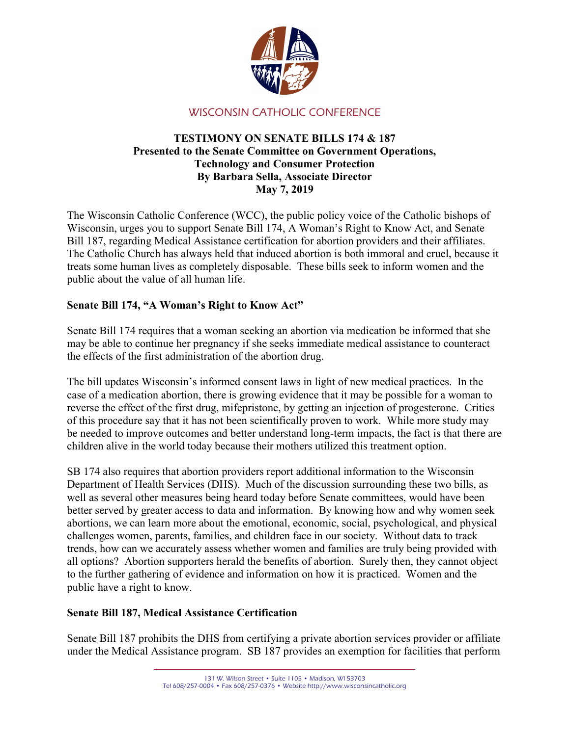

# WISCONSIN CATHOLIC CONFERENCE

### TESTIMONY ON SENATE BILLS 174 & 187 Presented to the Senate Committee on Government Operations, Technology and Consumer Protection By Barbara Sella, Associate Director May 7, 2019

The Wisconsin Catholic Conference (WCC), the public policy voice of the Catholic bishops of Wisconsin, urges you to support Senate Bill 174, A Woman's Right to Know Act, and Senate Bill 187, regarding Medical Assistance certification for abortion providers and their affiliates. The Catholic Church has always held that induced abortion is both immoral and cruel, because it treats some human lives as completely disposable. These bills seek to inform women and the public about the value of all human life.

## Senate Bill 174, "A Woman's Right to Know Act"

Senate Bill 174 requires that a woman seeking an abortion via medication be informed that she may be able to continue her pregnancy if she seeks immediate medical assistance to counteract the effects of the first administration of the abortion drug.

The bill updates Wisconsin's informed consent laws in light of new medical practices. In the case of a medication abortion, there is growing evidence that it may be possible for a woman to reverse the effect of the first drug, mifepristone, by getting an injection of progesterone. Critics of this procedure say that it has not been scientifically proven to work. While more study may be needed to improve outcomes and better understand long-term impacts, the fact is that there are children alive in the world today because their mothers utilized this treatment option.

SB 174 also requires that abortion providers report additional information to the Wisconsin Department of Health Services (DHS). Much of the discussion surrounding these two bills, as well as several other measures being heard today before Senate committees, would have been better served by greater access to data and information. By knowing how and why women seek abortions, we can learn more about the emotional, economic, social, psychological, and physical challenges women, parents, families, and children face in our society. Without data to track trends, how can we accurately assess whether women and families are truly being provided with all options? Abortion supporters herald the benefits of abortion. Surely then, they cannot object to the further gathering of evidence and information on how it is practiced. Women and the public have a right to know.

## Senate Bill 187, Medical Assistance Certification

Senate Bill 187 prohibits the DHS from certifying a private abortion services provider or affiliate under the Medical Assistance program. SB 187 provides an exemption for facilities that perform